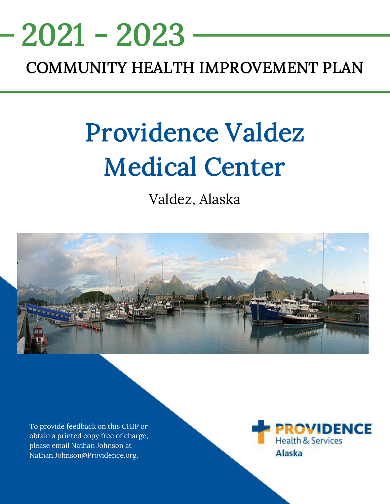# <u>NEEDS ASSESSMENT ASSESSMENT ASSESS</u> COMMUNITY HEALTH IMPROVEMENT PLAN 2021 - 2023

# Providence Valdez Medical Center

Valdez, Alaska



To provide feedback on this CHIP or obtain a printed copy free of charge, please email Nathan Johnson at Nathan.Johnson@Providence.org.

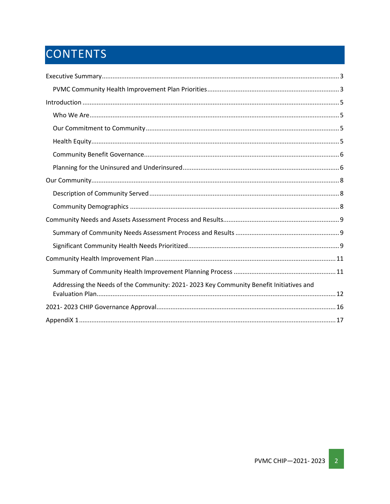# CONTENTS

| Addressing the Needs of the Community: 2021-2023 Key Community Benefit Initiatives and |
|----------------------------------------------------------------------------------------|
|                                                                                        |
|                                                                                        |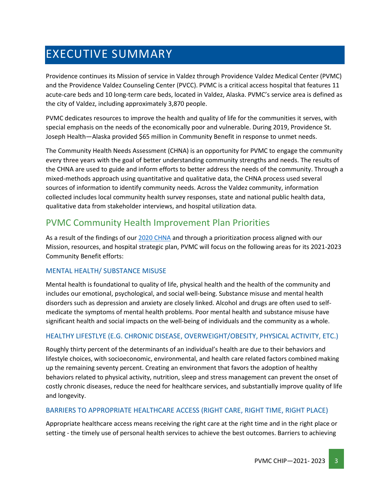# <span id="page-2-0"></span>EXECUTIVE SUMMARY

Providence continues its Mission of service in Valdez through Providence Valdez Medical Center (PVMC) and the Providence Valdez Counseling Center (PVCC). PVMC is a critical access hospital that features 11 acute-care beds and 10 long-term care beds, located in Valdez, Alaska. PVMC's service area is defined as the city of Valdez, including approximately 3,870 people.

PVMC dedicates resources to improve the health and quality of life for the communities it serves, with special emphasis on the needs of the economically poor and vulnerable. During 2019, Providence St. Joseph Health—Alaska provided \$65 million in Community Benefit in response to unmet needs.

The Community Health Needs Assessment (CHNA) is an opportunity for PVMC to engage the community every three years with the goal of better understanding community strengths and needs. The results of the CHNA are used to guide and inform efforts to better address the needs of the community. Through a mixed-methods approach using quantitative and qualitative data, the CHNA process used several sources of information to identify community needs. Across the Valdez community, information collected includes local community health survey responses, state and national public health data, qualitative data from stakeholder interviews, and hospital utilization data.

### <span id="page-2-1"></span>PVMC Community Health Improvement Plan Priorities

As a result of the findings of our [2020 CHNA](https://www.providence.org/-/media/Project/psjh/providence/socal/Files/about/community-benefit/reports/valdezchna_2020.pdf?la=en&hash=28AC8F4E8AAE006860DBE15E898ECD22) and through a prioritization process aligned with our Mission, resources, and hospital strategic plan, PVMC will focus on the following areas for its 2021-2023 Community Benefit efforts:

#### MENTAL HEALTH/ SUBSTANCE MISUSE

Mental health is foundational to quality of life, physical health and the health of the community and includes our emotional, psychological, and social well-being. Substance misuse and mental health disorders such as depression and anxiety are closely linked. Alcohol and drugs are often used to selfmedicate the symptoms of mental health problems. Poor mental health and substance misuse have significant health and social impacts on the well-being of individuals and the community as a whole.

#### HEALTHY LIFESTLYE (E.G. CHRONIC DISEASE, OVERWEIGHT/OBESITY, PHYSICAL ACTIVITY, ETC.)

Roughly thirty percent of the determinants of an individual's health are due to their behaviors and lifestyle choices, with socioeconomic, environmental, and health care related factors combined making up the remaining seventy percent. Creating an environment that favors the adoption of healthy behaviors related to physical activity, nutrition, sleep and stress management can prevent the onset of costly chronic diseases, reduce the need for healthcare services, and substantially improve quality of life and longevity.

#### BARRIERS TO APPROPRIATE HEALTHCARE ACCESS (RIGHT CARE, RIGHT TIME, RIGHT PLACE)

Appropriate healthcare access means receiving the right care at the right time and in the right place or setting - the timely use of personal health services to achieve the best outcomes. Barriers to achieving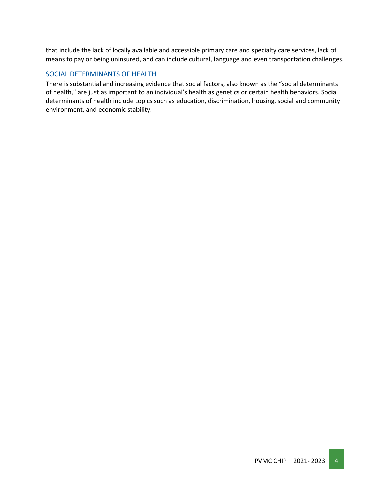that include the lack of locally available and accessible primary care and specialty care services, lack of means to pay or being uninsured, and can include cultural, language and even transportation challenges.

#### SOCIAL DETERMINANTS OF HEALTH

There is substantial and increasing evidence that social factors, also known as the "social determinants of health," are just as important to an individual's health as genetics or certain health behaviors. Social determinants of health include topics such as education, discrimination, housing, social and community environment, and economic stability.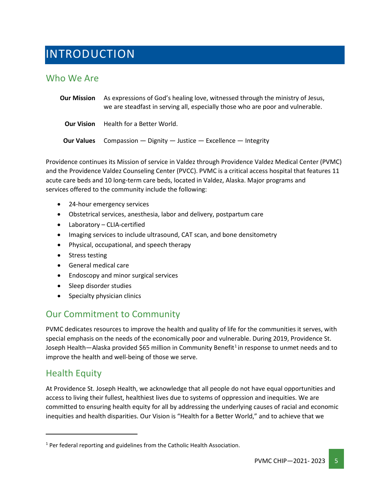# <span id="page-4-0"></span>INTRODUCTION

### <span id="page-4-1"></span>Who We Are

**Our Mission** As expressions of God's healing love, witnessed through the ministry of Jesus, we are steadfast in serving all, especially those who are poor and vulnerable. **Our Vision** Health for a Better World. **Our Values** Compassion — Dignity — Justice — Excellence — Integrity

Providence continues its Mission of service in Valdez through Providence Valdez Medical Center (PVMC) and the Providence Valdez Counseling Center (PVCC). PVMC is a critical access hospital that features 11 acute care beds and 10 long-term care beds, located in Valdez, Alaska. Major programs and services offered to the community include the following:

- 24-hour emergency services
- Obstetrical services, anesthesia, labor and delivery, postpartum care
- Laboratory CLIA-certified
- Imaging services to include ultrasound, CAT scan, and bone densitometry
- Physical, occupational, and speech therapy
- Stress testing
- General medical care
- Endoscopy and minor surgical services
- Sleep disorder studies
- Specialty physician clinics

# <span id="page-4-2"></span>Our Commitment to Community

PVMC dedicates resources to improve the health and quality of life for the communities it serves, with special emphasis on the needs of the economically poor and vulnerable. During 2019, Providence St. Joseph Health—Alaska provided \$65 million in Community Benefit<sup>[1](#page-4-4)</sup> in response to unmet needs and to improve the health and well-being of those we serve.

### <span id="page-4-3"></span>Health Equity

At Providence St. Joseph Health, we acknowledge that all people do not have equal opportunities and access to living their fullest, healthiest lives due to systems of oppression and inequities. We are committed to ensuring health equity for all by addressing the underlying causes of racial and economic inequities and health disparities. Our Vision is "Health for a Better World," and to achieve that we

<span id="page-4-4"></span> $1$  Per federal reporting and guidelines from the Catholic Health Association.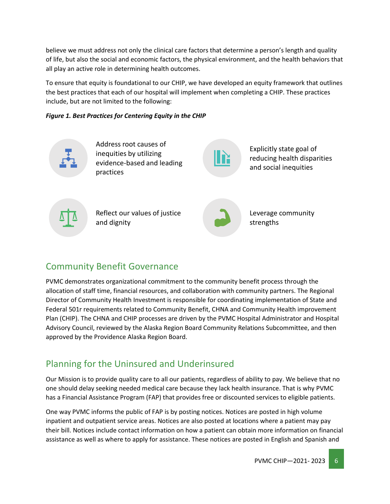believe we must address not only the clinical care factors that determine a person's length and quality of life, but also the social and economic factors, the physical environment, and the health behaviors that all play an active role in determining health outcomes.

To ensure that equity is foundational to our CHIP, we have developed an equity framework that outlines the best practices that each of our hospital will implement when completing a CHIP. These practices include, but are not limited to the following:

#### *Figure 1. Best Practices for Centering Equity in the CHIP*



# <span id="page-5-0"></span>Community Benefit Governance

PVMC demonstrates organizational commitment to the community benefit process through the allocation of staff time, financial resources, and collaboration with community partners. The Regional Director of Community Health Investment is responsible for coordinating implementation of State and Federal 501r requirements related to Community Benefit, CHNA and Community Health improvement Plan (CHIP). The CHNA and CHIP processes are driven by the PVMC Hospital Administrator and Hospital Advisory Council, reviewed by the Alaska Region Board Community Relations Subcommittee, and then approved by the Providence Alaska Region Board.

# <span id="page-5-1"></span>Planning for the Uninsured and Underinsured

Our Mission is to provide quality care to all our patients, regardless of ability to pay. We believe that no one should delay seeking needed medical care because they lack health insurance. That is why PVMC has a Financial Assistance Program (FAP) that provides free or discounted services to eligible patients.

One way PVMC informs the public of FAP is by posting notices. Notices are posted in high volume inpatient and outpatient service areas. Notices are also posted at locations where a patient may pay their bill. Notices include contact information on how a patient can obtain more information on financial assistance as well as where to apply for assistance. These notices are posted in English and Spanish and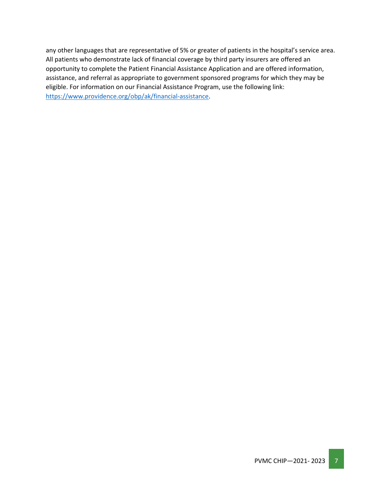any other languages that are representative of 5% or greater of patients in the hospital's service area. All patients who demonstrate lack of financial coverage by third party insurers are offered an opportunity to complete the Patient Financial Assistance Application and are offered information, assistance, and referral as appropriate to government sponsored programs for which they may be eligible. For information on our Financial Assistance Program, use the following link: [https://www.providence.org/obp/ak/financial-assistance.](https://www.providence.org/obp/ak/financial-assistance)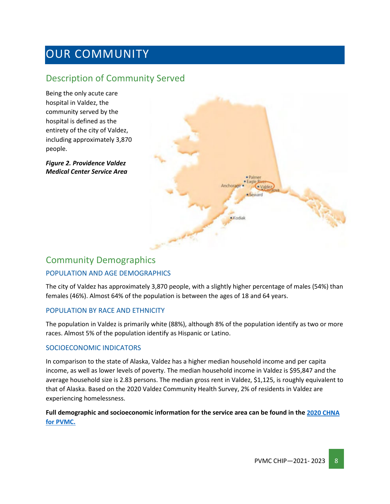# <span id="page-7-0"></span>OUR COMMUNITY

### <span id="page-7-1"></span>Description of Community Served

Being the only acute care hospital in Valdez, the community served by the hospital is defined as the entirety of the city of Valdez, including approximately 3,870 people.

*Figure 2. Providence Valdez Medical Center Service Area*



# <span id="page-7-2"></span>Community Demographics POPULATION AND AGE DEMOGRAPHICS

The city of Valdez has approximately 3,870 people, with a slightly higher percentage of males (54%) than females (46%). Almost 64% of the population is between the ages of 18 and 64 years.

#### POPULATION BY RACE AND ETHNICITY

The population in Valdez is primarily white (88%), although 8% of the population identify as two or more races. Almost 5% of the population identify as Hispanic or Latino.

#### SOCIOECONOMIC INDICATORS

In comparison to the state of Alaska, Valdez has a higher median household income and per capita income, as well as lower levels of poverty. The median household income in Valdez is \$95,847 and the average household size is 2.83 persons. The median gross rent in Valdez, \$1,125, is roughly equivalent to that of Alaska. Based on the 2020 Valdez Community Health Survey, 2% of residents in Valdez are experiencing homelessness.

#### **Full demographic and socioeconomic information for the service area can be found in the [2020 CHNA](https://www.providence.org/-/media/Project/psjh/providence/socal/Files/about/community-benefit/reports/valdezchna_2020.pdf?la=en&hash=28AC8F4E8AAE006860DBE15E898ECD22)  [for PVMC.](https://www.providence.org/-/media/Project/psjh/providence/socal/Files/about/community-benefit/reports/valdezchna_2020.pdf?la=en&hash=28AC8F4E8AAE006860DBE15E898ECD22)**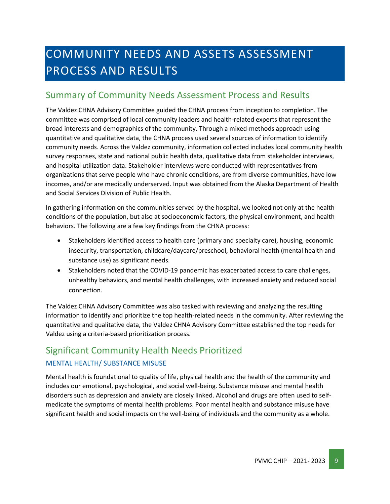# <span id="page-8-0"></span>COMMUNITY NEEDS AND ASSETS ASSESSMENT PROCESS AND RESULTS

### <span id="page-8-1"></span>Summary of Community Needs Assessment Process and Results

The Valdez CHNA Advisory Committee guided the CHNA process from inception to completion. The committee was comprised of local community leaders and health-related experts that represent the broad interests and demographics of the community. Through a mixed-methods approach using quantitative and qualitative data, the CHNA process used several sources of information to identify community needs. Across the Valdez community, information collected includes local community health survey responses, state and national public health data, qualitative data from stakeholder interviews, and hospital utilization data. Stakeholder interviews were conducted with representatives from organizations that serve people who have chronic conditions, are from diverse communities, have low incomes, and/or are medically underserved. Input was obtained from the Alaska Department of Health and Social Services Division of Public Health.

In gathering information on the communities served by the hospital, we looked not only at the health conditions of the population, but also at socioeconomic factors, the physical environment, and health behaviors. The following are a few key findings from the CHNA process:

- Stakeholders identified access to health care (primary and specialty care), housing, economic insecurity, transportation, childcare/daycare/preschool, behavioral health (mental health and substance use) as significant needs.
- Stakeholders noted that the COVID-19 pandemic has exacerbated access to care challenges, unhealthy behaviors, and mental health challenges, with increased anxiety and reduced social connection.

The Valdez CHNA Advisory Committee was also tasked with reviewing and analyzing the resulting information to identify and prioritize the top health-related needs in the community. After reviewing the quantitative and qualitative data, the Valdez CHNA Advisory Committee established the top needs for Valdez using a criteria-based prioritization process.

# <span id="page-8-2"></span>Significant Community Health Needs Prioritized

#### MENTAL HEALTH/ SUBSTANCE MISUSE

Mental health is foundational to quality of life, physical health and the health of the community and includes our emotional, psychological, and social well-being. Substance misuse and mental health disorders such as depression and anxiety are closely linked. Alcohol and drugs are often used to selfmedicate the symptoms of mental health problems. Poor mental health and substance misuse have significant health and social impacts on the well-being of individuals and the community as a whole.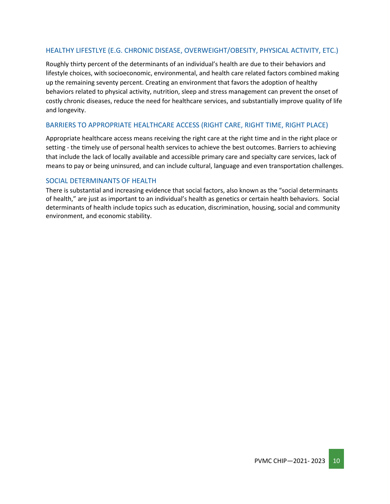#### HEALTHY LIFESTLYE (E.G. CHRONIC DISEASE, OVERWEIGHT/OBESITY, PHYSICAL ACTIVITY, ETC.)

Roughly thirty percent of the determinants of an individual's health are due to their behaviors and lifestyle choices, with socioeconomic, environmental, and health care related factors combined making up the remaining seventy percent. Creating an environment that favors the adoption of healthy behaviors related to physical activity, nutrition, sleep and stress management can prevent the onset of costly chronic diseases, reduce the need for healthcare services, and substantially improve quality of life and longevity.

#### BARRIERS TO APPROPRIATE HEALTHCARE ACCESS (RIGHT CARE, RIGHT TIME, RIGHT PLACE)

Appropriate healthcare access means receiving the right care at the right time and in the right place or setting - the timely use of personal health services to achieve the best outcomes. Barriers to achieving that include the lack of locally available and accessible primary care and specialty care services, lack of means to pay or being uninsured, and can include cultural, language and even transportation challenges.

#### SOCIAL DETERMINANTS OF HEALTH

There is substantial and increasing evidence that social factors, also known as the "social determinants of health," are just as important to an individual's health as genetics or certain health behaviors. Social determinants of health include topics such as education, discrimination, housing, social and community environment, and economic stability.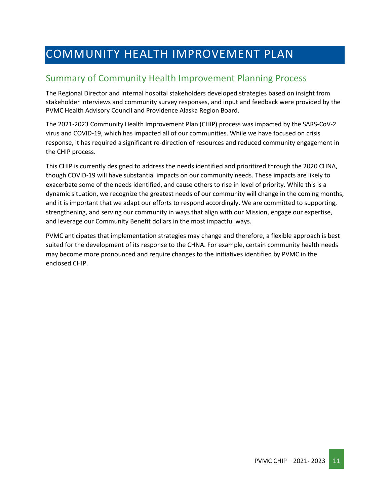# <span id="page-10-0"></span>COMMUNITY HEALTH IMPROVEMENT PLAN

# <span id="page-10-1"></span>Summary of Community Health Improvement Planning Process

The Regional Director and internal hospital stakeholders developed strategies based on insight from stakeholder interviews and community survey responses, and input and feedback were provided by the PVMC Health Advisory Council and Providence Alaska Region Board.

The 2021-2023 Community Health Improvement Plan (CHIP) process was impacted by the SARS-CoV-2 virus and COVID-19, which has impacted all of our communities. While we have focused on crisis response, it has required a significant re-direction of resources and reduced community engagement in the CHIP process.

This CHIP is currently designed to address the needs identified and prioritized through the 2020 CHNA, though COVID-19 will have substantial impacts on our community needs. These impacts are likely to exacerbate some of the needs identified, and cause others to rise in level of priority. While this is a dynamic situation, we recognize the greatest needs of our community will change in the coming months, and it is important that we adapt our efforts to respond accordingly. We are committed to supporting, strengthening, and serving our community in ways that align with our Mission, engage our expertise, and leverage our Community Benefit dollars in the most impactful ways.

PVMC anticipates that implementation strategies may change and therefore, a flexible approach is best suited for the development of its response to the CHNA. For example, certain community health needs may become more pronounced and require changes to the initiatives identified by PVMC in the enclosed CHIP.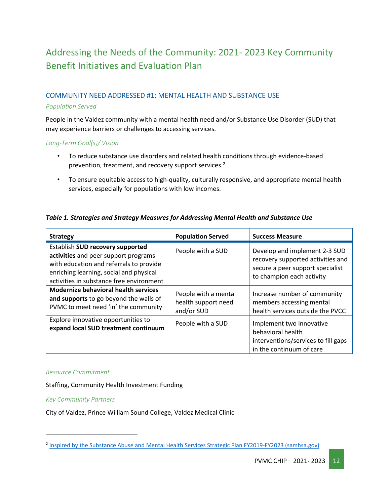# <span id="page-11-0"></span>Addressing the Needs of the Community: 2021- 2023 Key Community Benefit Initiatives and Evaluation Plan

#### COMMUNITY NEED ADDRESSED #1: MENTAL HEALTH AND SUBSTANCE USE

#### *Population Served*

People in the Valdez community with a mental health need and/or Substance Use Disorder (SUD) that may experience barriers or challenges to accessing services.

#### *Long-Term Goal(s)/ Vision*

- To reduce substance use disorders and related health conditions through evidence-based prevention, treatment, and recovery support services.<sup>[2](#page-11-1)</sup>
- To ensure equitable access to high-quality, culturally responsive, and appropriate mental health services, especially for populations with low incomes.

#### *Table 1. Strategies and Strategy Measures for Addressing Mental Health and Substance Use*

| <b>Strategy</b>                                                                                                                                                                                            | <b>Population Served</b>                                  | <b>Success Measure</b>                                                                                                              |  |  |
|------------------------------------------------------------------------------------------------------------------------------------------------------------------------------------------------------------|-----------------------------------------------------------|-------------------------------------------------------------------------------------------------------------------------------------|--|--|
| Establish SUD recovery supported<br>activities and peer support programs<br>with education and referrals to provide<br>enriching learning, social and physical<br>activities in substance free environment | People with a SUD                                         | Develop and implement 2-3 SUD<br>recovery supported activities and<br>secure a peer support specialist<br>to champion each activity |  |  |
| <b>Modernize behavioral health services</b><br>and supports to go beyond the walls of<br>PVMC to meet need 'in' the community                                                                              | People with a mental<br>health support need<br>and/or SUD | Increase number of community<br>members accessing mental<br>health services outside the PVCC                                        |  |  |
| Explore innovative opportunities to<br>expand local SUD treatment continuum                                                                                                                                | People with a SUD                                         | Implement two innovative<br>behavioral health<br>interventions/services to fill gaps<br>in the continuum of care                    |  |  |

#### *Resource Commitment*

Staffing, Community Health Investment Funding

#### *Key Community Partners*

City of Valdez, Prince William Sound College, Valdez Medical Clinic

<span id="page-11-1"></span><sup>2</sup> [Inspired by the Substance Abuse and Mental Health Services Strategic Plan FY2019-FY2023 \(samhsa.gov\)](https://www.samhsa.gov/sites/default/files/samhsa_strategic_plan_fy19-fy23_final-508.pdf)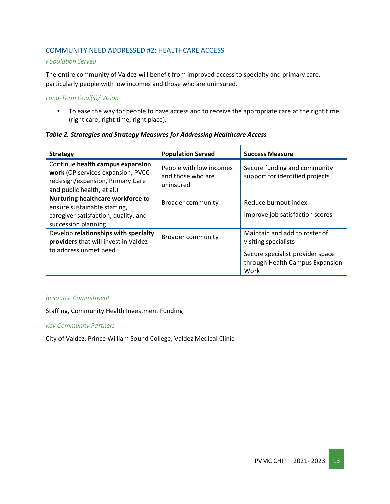#### COMMUNITY NEED ADDRESSED #2: HEALTHCARE ACCESS

#### *Population Served*

The entire community of Valdez will benefit from improved access to specialty and primary care, particularly people with low incomes and those who are uninsured.

#### *Long-Term Goal(s)/ Vision*

• To ease the way for people to have access and to receive the appropriate care at the right time (right care, right time, right place).

#### *Table 2. Strategies and Strategy Measures for Addressing Healthcare Access*

| <b>Strategy</b>                                                                                                                         | <b>Population Served</b>                                  | <b>Success Measure</b>                                                                                                               |  |  |
|-----------------------------------------------------------------------------------------------------------------------------------------|-----------------------------------------------------------|--------------------------------------------------------------------------------------------------------------------------------------|--|--|
| Continue health campus expansion<br>work (OP services expansion, PVCC<br>redesign/expansion, Primary Care<br>and public health, et al.) | People with low incomes<br>and those who are<br>uninsured | Secure funding and community<br>support for identified projects                                                                      |  |  |
| Nurturing healthcare workforce to<br>ensure sustainable staffing,<br>caregiver satisfaction, quality, and<br>succession planning        | <b>Broader community</b>                                  | Reduce burnout index<br>Improve job satisfaction scores                                                                              |  |  |
| Develop relationships with specialty<br>providers that will invest in Valdez<br>to address unmet need                                   | <b>Broader community</b>                                  | Maintain and add to roster of<br>visiting specialists<br>Secure specialist provider space<br>through Health Campus Expansion<br>Work |  |  |

#### *Resource Commitment*

Staffing, Community Health Investment Funding

#### *Key Community Partners*

City of Valdez, Prince William Sound College, Valdez Medical Clinic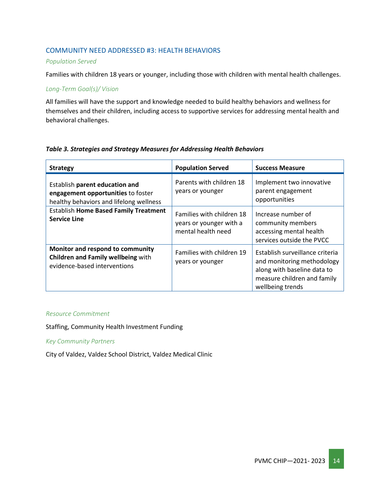#### COMMUNITY NEED ADDRESSED #3: HEALTH BEHAVIORS

#### *Population Served*

Families with children 18 years or younger, including those with children with mental health challenges.

#### *Long-Term Goal(s)/ Vision*

All families will have the support and knowledge needed to build healthy behaviors and wellness for themselves and their children, including access to supportive services for addressing mental health and behavioral challenges.

| <b>Strategy</b>                                                                                                 | <b>Population Served</b>                                                   | <b>Success Measure</b>                                                                                                                          |
|-----------------------------------------------------------------------------------------------------------------|----------------------------------------------------------------------------|-------------------------------------------------------------------------------------------------------------------------------------------------|
| Establish parent education and<br>engagement opportunities to foster<br>healthy behaviors and lifelong wellness | Parents with children 18<br>years or younger                               | Implement two innovative<br>parent engagement<br>opportunities                                                                                  |
| <b>Establish Home Based Family Treatment</b><br><b>Service Line</b>                                             | Families with children 18<br>years or younger with a<br>mental health need | Increase number of<br>community members<br>accessing mental health<br>services outside the PVCC                                                 |
| Monitor and respond to community<br><b>Children and Family wellbeing with</b><br>evidence-based interventions   | Families with children 19<br>years or younger                              | Establish surveillance criteria<br>and monitoring methodology<br>along with baseline data to<br>measure children and family<br>wellbeing trends |

#### *Table 3. Strategies and Strategy Measures for Addressing Health Behaviors*

#### *Resource Commitment*

Staffing, Community Health Investment Funding

#### *Key Community Partners*

City of Valdez, Valdez School District, Valdez Medical Clinic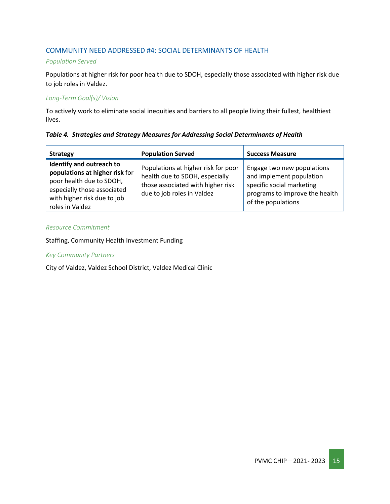#### COMMUNITY NEED ADDRESSED #4: SOCIAL DETERMINANTS OF HEALTH

#### *Population Served*

Populations at higher risk for poor health due to SDOH, especially those associated with higher risk due to job roles in Valdez.

#### *Long-Term Goal(s)/ Vision*

To actively work to eliminate social inequities and barriers to all people living their fullest, healthiest lives.

#### *Table 4. Strategies and Strategy Measures for Addressing Social Determinants of Health*

| <b>Strategy</b>                                                                                                                                                         | <b>Population Served</b>                                                                                                                 | <b>Success Measure</b>                                                                                                                      |
|-------------------------------------------------------------------------------------------------------------------------------------------------------------------------|------------------------------------------------------------------------------------------------------------------------------------------|---------------------------------------------------------------------------------------------------------------------------------------------|
| Identify and outreach to<br>populations at higher risk for<br>poor health due to SDOH,<br>especially those associated<br>with higher risk due to job<br>roles in Valdez | Populations at higher risk for poor<br>health due to SDOH, especially<br>those associated with higher risk<br>due to job roles in Valdez | Engage two new populations<br>and implement population<br>specific social marketing<br>programs to improve the health<br>of the populations |

#### *Resource Commitment*

#### Staffing, Community Health Investment Funding

#### *Key Community Partners*

City of Valdez, Valdez School District, Valdez Medical Clinic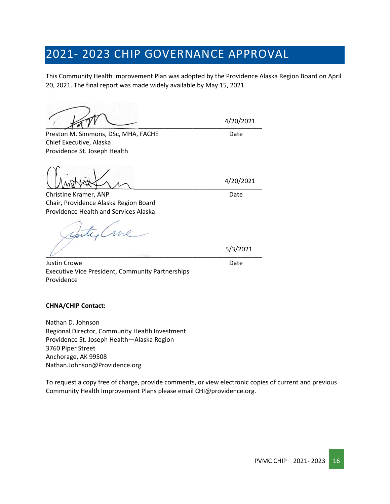# <span id="page-15-0"></span>2021- 2023 CHIP GOVERNANCE APPROVAL

This Community Health Improvement Plan was adopted by the Providence Alaska Region Board on April 20, 2021. The final report was made widely available by May 15, 2021.

 $\frac{1}{\sqrt{2}}$ 

Preston M. Simmons, DSc, MHA, FACHE Date Chief Executive, Alaska Providence St. Joseph Health

 $\sqrt{M}$ 

Christine Kramer, ANP Date Chair, Providence Alaska Region Board Providence Health and Services Alaska

 $\overline{\mathcal{L}}$  , and the contract of the contract of the contract of the contract of the contract of the contract of the contract of the contract of the contract of the contract of the contract of the contract of the contrac

Justin Crowe Date Executive Vice President, Community Partnerships Providence

5/3/2021

#### **CHNA/CHIP Contact:**

Nathan D. Johnson Regional Director, Community Health Investment Providence St. Joseph Health—Alaska Region 3760 Piper Street Anchorage, AK 99508 Nathan.Johnson@Providence.org

To request a copy free of charge, provide comments, or view electronic copies of current and previous Community Health Improvement Plans please email CHI@providence.org.

4/20/2021

4/20/2021